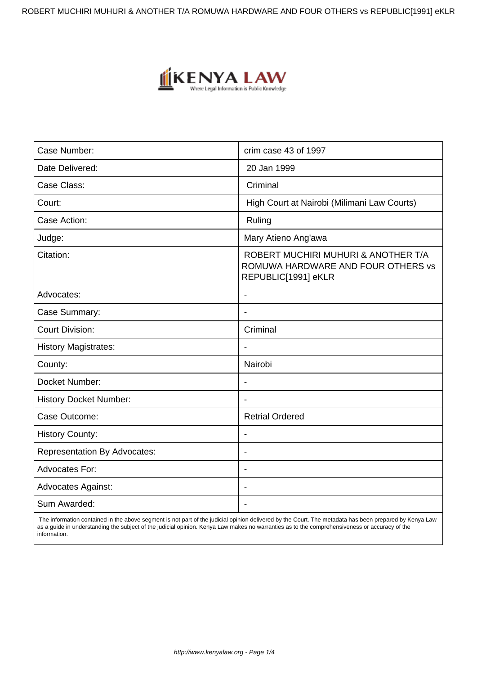ROBERT MUCHIRI MUHURI & ANOTHER T/A ROMUWA HARDWARE AND FOUR OTHERS vs REPUBLIC[1991] eKLR



| Case Number:                        | crim case 43 of 1997                                                                             |
|-------------------------------------|--------------------------------------------------------------------------------------------------|
| Date Delivered:                     | 20 Jan 1999                                                                                      |
| Case Class:                         | Criminal                                                                                         |
| Court:                              | High Court at Nairobi (Milimani Law Courts)                                                      |
| Case Action:                        | Ruling                                                                                           |
| Judge:                              | Mary Atieno Ang'awa                                                                              |
| Citation:                           | ROBERT MUCHIRI MUHURI & ANOTHER T/A<br>ROMUWA HARDWARE AND FOUR OTHERS vs<br>REPUBLIC[1991] eKLR |
| Advocates:                          |                                                                                                  |
| Case Summary:                       | $\blacksquare$                                                                                   |
| <b>Court Division:</b>              | Criminal                                                                                         |
| <b>History Magistrates:</b>         |                                                                                                  |
| County:                             | Nairobi                                                                                          |
| Docket Number:                      | $\blacksquare$                                                                                   |
| <b>History Docket Number:</b>       |                                                                                                  |
| Case Outcome:                       | <b>Retrial Ordered</b>                                                                           |
| <b>History County:</b>              |                                                                                                  |
| <b>Representation By Advocates:</b> | $\blacksquare$                                                                                   |
| Advocates For:                      |                                                                                                  |
| <b>Advocates Against:</b>           |                                                                                                  |
| Sum Awarded:                        |                                                                                                  |

 The information contained in the above segment is not part of the judicial opinion delivered by the Court. The metadata has been prepared by Kenya Law as a guide in understanding the subject of the judicial opinion. Kenya Law makes no warranties as to the comprehensiveness or accuracy of the information.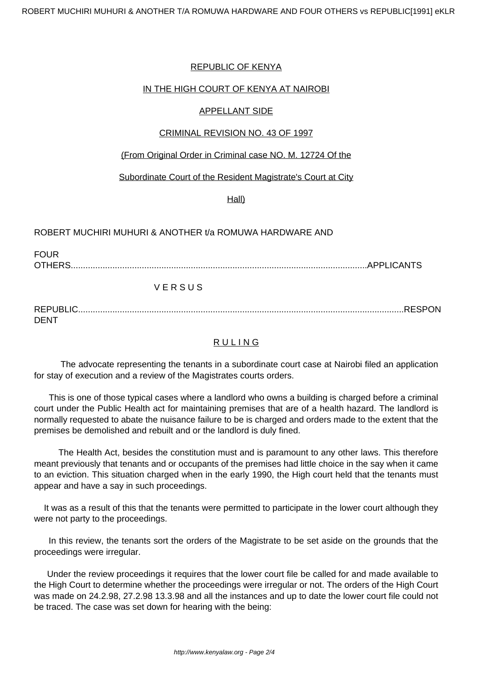## REPUBLIC OF KENYA

## IN THE HIGH COURT OF KENYA AT NAIROBI

### APPELLANT SIDE

### CRIMINAL REVISION NO. 43 OF 1997

### (From Original Order in Criminal case NO. M. 12724 Of the

### Subordinate Court of the Resident Magistrate's Court at City

Hall)

### ROBERT MUCHIRI MUHURI & ANOTHER t/a ROMUWA HARDWARE AND

FOUR OTHERS.........................................................................................................................APPLICANTS

# V E R S U S

REPUBLIC.....................................................................................................................................RESPON DENT

# **RULING**

 The advocate representing the tenants in a subordinate court case at Nairobi filed an application for stay of execution and a review of the Magistrates courts orders.

 This is one of those typical cases where a landlord who owns a building is charged before a criminal court under the Public Health act for maintaining premises that are of a health hazard. The landlord is normally requested to abate the nuisance failure to be is charged and orders made to the extent that the premises be demolished and rebuilt and or the landlord is duly fined.

The Health Act, besides the constitution must and is paramount to any other laws. This therefore meant previously that tenants and or occupants of the premises had little choice in the say when it came to an eviction. This situation charged when in the early 1990, the High court held that the tenants must appear and have a say in such proceedings.

 It was as a result of this that the tenants were permitted to participate in the lower court although they were not party to the proceedings.

In this review, the tenants sort the orders of the Magistrate to be set aside on the grounds that the proceedings were irregular.

Under the review proceedings it requires that the lower court file be called for and made available to the High Court to determine whether the proceedings were irregular or not. The orders of the High Court was made on 24.2.98, 27.2.98 13.3.98 and all the instances and up to date the lower court file could not be traced. The case was set down for hearing with the being: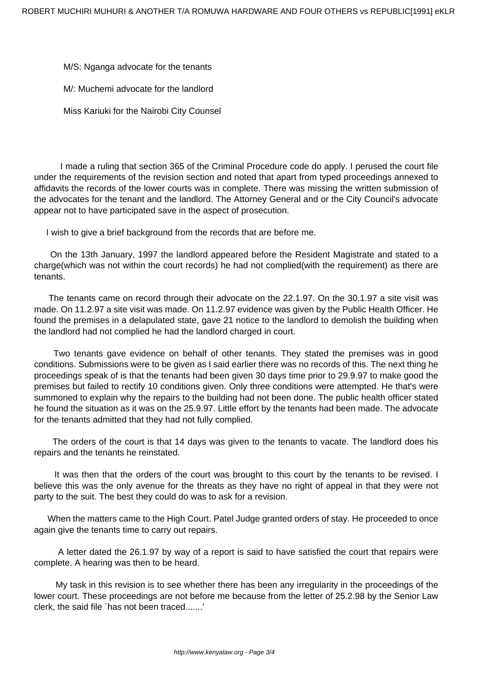M/S: Nganga advocate for the tenants

M/: Muchemi advocate for the landlord

Miss Kariuki for the Nairobi City Counsel

 I made a ruling that section 365 of the Criminal Procedure code do apply. I perused the court file under the requirements of the revision section and noted that apart from typed proceedings annexed to affidavits the records of the lower courts was in complete. There was missing the written submission of the advocates for the tenant and the landlord. The Attorney General and or the City Council's advocate appear not to have participated save in the aspect of prosecution.

I wish to give a brief background from the records that are before me.

On the 13th January, 1997 the landlord appeared before the Resident Magistrate and stated to a charge(which was not within the court records) he had not complied(with the requirement) as there are tenants.

The tenants came on record through their advocate on the 22.1.97. On the 30.1.97 a site visit was made. On 11.2.97 a site visit was made. On 11.2.97 evidence was given by the Public Health Officer. He found the premises in a delapulated state, gave 21 notice to the landlord to demolish the building when the landlord had not complied he had the landlord charged in court.

Two tenants gave evidence on behalf of other tenants. They stated the premises was in good conditions. Submissions were to be given as I said earlier there was no records of this. The next thing he proceedings speak of is that the tenants had been given 30 days time prior to 29.9.97 to make good the premises but failed to rectify 10 conditions given. Only three conditions were attempted. He that's were summoned to explain why the repairs to the building had not been done. The public health officer stated he found the situation as it was on the 25.9.97. Little effort by the tenants had been made. The advocate for the tenants admitted that they had not fully complied.

 The orders of the court is that 14 days was given to the tenants to vacate. The landlord does his repairs and the tenants he reinstated.

 It was then that the orders of the court was brought to this court by the tenants to be revised. I believe this was the only avenue for the threats as they have no right of appeal in that they were not party to the suit. The best they could do was to ask for a revision.

 When the matters came to the High Court. Patel Judge granted orders of stay. He proceeded to once again give the tenants time to carry out repairs.

 A letter dated the 26.1.97 by way of a report is said to have satisfied the court that repairs were complete. A hearing was then to be heard.

 My task in this revision is to see whether there has been any irregularity in the proceedings of the lower court. These proceedings are not before me because from the letter of 25.2.98 by the Senior Law clerk, the said file `has not been traced.......'